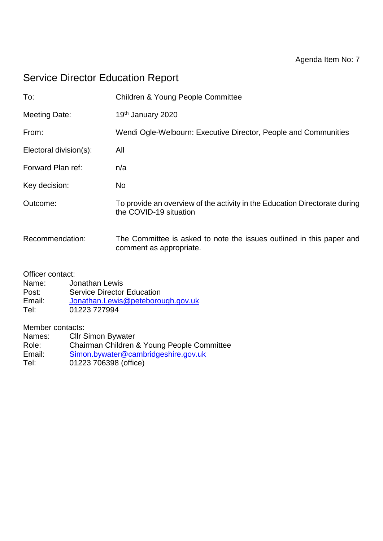# Service Director Education Report

| To:                    | <b>Children &amp; Young People Committee</b>                                                         |
|------------------------|------------------------------------------------------------------------------------------------------|
| <b>Meeting Date:</b>   | 19th January 2020                                                                                    |
| From:                  | Wendi Ogle-Welbourn: Executive Director, People and Communities                                      |
| Electoral division(s): | All                                                                                                  |
| Forward Plan ref:      | n/a                                                                                                  |
| Key decision:          | No                                                                                                   |
| Outcome:               | To provide an overview of the activity in the Education Directorate during<br>the COVID-19 situation |
| Recommendation:        | The Committee is asked to note the issues outlined in this paper and<br>comment as appropriate.      |
| $\sim$ $\cdots$        |                                                                                                      |

Officer contact:

Name: Jonathan Lewis<br>Post: Service Director **Service Director Education** Email: [Jonathan.Lewis@peteborough.gov.uk](mailto:Jonathan.Lewis@peteborough.gov.uk) Tel: 01223 727994

Member contacts:<br>Names: Cllr S

Cllr Simon Bywater Role: Chairman Children & Young People Committee Email: [Simon.bywater@cambridgeshire.gov.uk](mailto:Simon.bywater@cambridgeshire.gov.uk) Tel: 01223 706398 (office)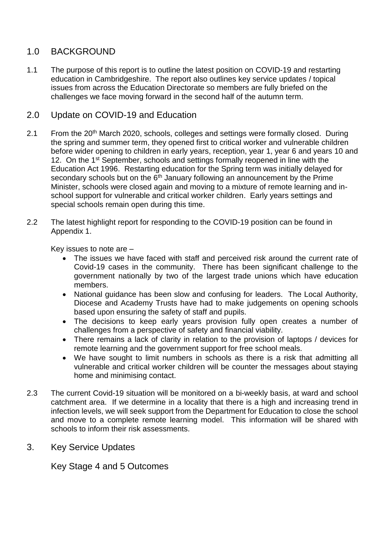# 1.0 BACKGROUND

1.1 The purpose of this report is to outline the latest position on COVID-19 and restarting education in Cambridgeshire. The report also outlines key service updates / topical issues from across the Education Directorate so members are fully briefed on the challenges we face moving forward in the second half of the autumn term.

# 2.0 Update on COVID-19 and Education

- 2.1 From the 20<sup>th</sup> March 2020, schools, colleges and settings were formally closed. During the spring and summer term, they opened first to critical worker and vulnerable children before wider opening to children in early years, reception, year 1, year 6 and years 10 and 12. On the 1<sup>st</sup> September, schools and settings formally reopened in line with the Education Act 1996. Restarting education for the Spring term was initially delayed for secondary schools but on the  $6<sup>th</sup>$  January following an announcement by the Prime Minister, schools were closed again and moving to a mixture of remote learning and inschool support for vulnerable and critical worker children. Early years settings and special schools remain open during this time.
- 2.2 The latest highlight report for responding to the COVID-19 position can be found in Appendix 1.

Key issues to note are –

- The issues we have faced with staff and perceived risk around the current rate of Covid-19 cases in the community. There has been significant challenge to the government nationally by two of the largest trade unions which have education members.
- National guidance has been slow and confusing for leaders. The Local Authority, Diocese and Academy Trusts have had to make judgements on opening schools based upon ensuring the safety of staff and pupils.
- The decisions to keep early years provision fully open creates a number of challenges from a perspective of safety and financial viability.
- There remains a lack of clarity in relation to the provision of laptops / devices for remote learning and the government support for free school meals.
- We have sought to limit numbers in schools as there is a risk that admitting all vulnerable and critical worker children will be counter the messages about staying home and minimising contact.
- 2.3 The current Covid-19 situation will be monitored on a bi-weekly basis, at ward and school catchment area. If we determine in a locality that there is a high and increasing trend in infection levels, we will seek support from the Department for Education to close the school and move to a complete remote learning model. This information will be shared with schools to inform their risk assessments.
- 3. Key Service Updates

Key Stage 4 and 5 Outcomes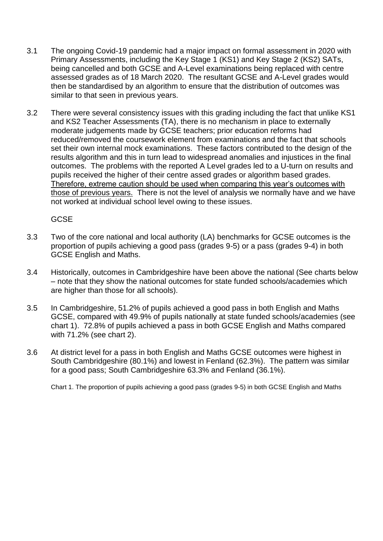- 3.1 The ongoing Covid-19 pandemic had a major impact on formal assessment in 2020 with Primary Assessments, including the Key Stage 1 (KS1) and Key Stage 2 (KS2) SATs, being cancelled and both GCSE and A-Level examinations being replaced with centre assessed grades as of 18 March 2020. The resultant GCSE and A-Level grades would then be standardised by an algorithm to ensure that the distribution of outcomes was similar to that seen in previous years.
- 3.2 There were several consistency issues with this grading including the fact that unlike KS1 and KS2 Teacher Assessments (TA), there is no mechanism in place to externally moderate judgements made by GCSE teachers; prior education reforms had reduced/removed the coursework element from examinations and the fact that schools set their own internal mock examinations. These factors contributed to the design of the results algorithm and this in turn lead to widespread anomalies and injustices in the final outcomes. The problems with the reported A Level grades led to a U-turn on results and pupils received the higher of their centre assed grades or algorithm based grades. Therefore, extreme caution should be used when comparing this year's outcomes with those of previous years. There is not the level of analysis we normally have and we have not worked at individual school level owing to these issues.

GCSE

- 3.3 Two of the core national and local authority (LA) benchmarks for GCSE outcomes is the proportion of pupils achieving a good pass (grades 9-5) or a pass (grades 9-4) in both GCSE English and Maths.
- 3.4 Historically, outcomes in Cambridgeshire have been above the national (See charts below – note that they show the national outcomes for state funded schools/academies which are higher than those for all schools).
- 3.5 In Cambridgeshire, 51.2% of pupils achieved a good pass in both English and Maths GCSE, compared with 49.9% of pupils nationally at state funded schools/academies (see chart 1). 72.8% of pupils achieved a pass in both GCSE English and Maths compared with 71.2% (see chart 2).
- 3.6 At district level for a pass in both English and Maths GCSE outcomes were highest in South Cambridgeshire (80.1%) and lowest in Fenland (62.3%). The pattern was similar for a good pass; South Cambridgeshire 63.3% and Fenland (36.1%).

Chart 1. The proportion of pupils achieving a good pass (grades 9-5) in both GCSE English and Maths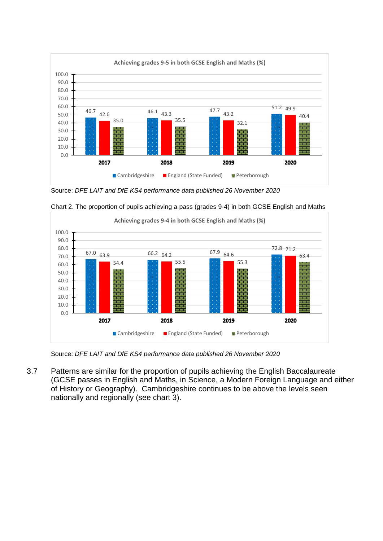

Source: *DFE LAIT and DfE KS4 performance data published 26 November 2020*



Chart 2. The proportion of pupils achieving a pass (grades 9-4) in both GCSE English and Maths

Source: *DFE LAIT and DfE KS4 performance data published 26 November 2020*

3.7 Patterns are similar for the proportion of pupils achieving the English Baccalaureate (GCSE passes in English and Maths, in Science, a Modern Foreign Language and either of History or Geography). Cambridgeshire continues to be above the levels seen nationally and regionally (see chart 3).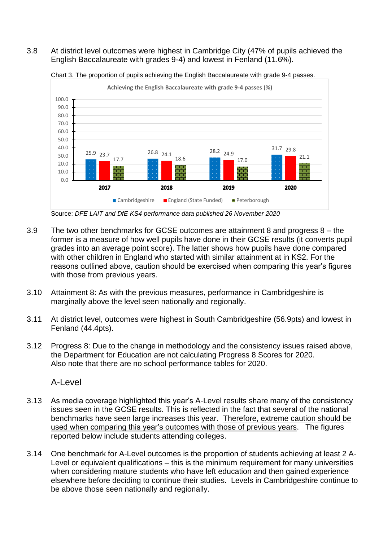#### 3.8 At district level outcomes were highest in Cambridge City (47% of pupils achieved the English Baccalaureate with grades 9-4) and lowest in Fenland (11.6%).



Chart 3. The proportion of pupils achieving the English Baccalaureate with grade 9-4 passes.

Source: *DFE LAIT and DfE KS4 performance data published 26 November 2020*

- 3.9 The two other benchmarks for GCSE outcomes are attainment 8 and progress 8 the former is a measure of how well pupils have done in their GCSE results (it converts pupil grades into an average point score). The latter shows how pupils have done compared with other children in England who started with similar attainment at in KS2. For the reasons outlined above, caution should be exercised when comparing this year's figures with those from previous years.
- 3.10 Attainment 8: As with the previous measures, performance in Cambridgeshire is marginally above the level seen nationally and regionally.
- 3.11 At district level, outcomes were highest in South Cambridgeshire (56.9pts) and lowest in Fenland (44.4pts).
- 3.12 Progress 8: Due to the change in methodology and the consistency issues raised above, the Department for Education are not calculating Progress 8 Scores for 2020. Also note that there are no school performance tables for 2020.

A-Level

- 3.13 As media coverage highlighted this year's A-Level results share many of the consistency issues seen in the GCSE results. This is reflected in the fact that several of the national benchmarks have seen large increases this year. Therefore, extreme caution should be used when comparing this year's outcomes with those of previous years. The figures reported below include students attending colleges.
- 3.14 One benchmark for A-Level outcomes is the proportion of students achieving at least 2 A-Level or equivalent qualifications – this is the minimum requirement for many universities when considering mature students who have left education and then gained experience elsewhere before deciding to continue their studies. Levels in Cambridgeshire continue to be above those seen nationally and regionally.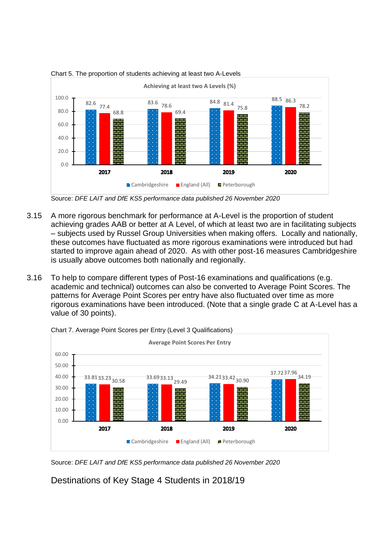

Chart 5. The proportion of students achieving at least two A-Levels

Source: *DFE LAIT and DfE KS5 performance data published 26 November 2020*

- 3.15 A more rigorous benchmark for performance at A-Level is the proportion of student achieving grades AAB or better at A Level, of which at least two are in facilitating subjects – subjects used by Russel Group Universities when making offers. Locally and nationally, these outcomes have fluctuated as more rigorous examinations were introduced but had started to improve again ahead of 2020. As with other post-16 measures Cambridgeshire is usually above outcomes both nationally and regionally.
- 3.16 To help to compare different types of Post-16 examinations and qualifications (e.g. academic and technical) outcomes can also be converted to Average Point Scores. The patterns for Average Point Scores per entry have also fluctuated over time as more rigorous examinations have been introduced. (Note that a single grade C at A-Level has a value of 30 points).



Chart 7. Average Point Scores per Entry (Level 3 Qualifications)

Source: *DFE LAIT and DfE KS5 performance data published 26 November 2020*

Destinations of Key Stage 4 Students in 2018/19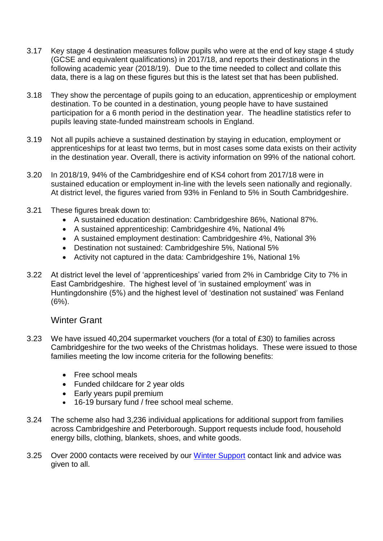- 3.17 Key stage 4 destination measures follow pupils who were at the end of key stage 4 study (GCSE and equivalent qualifications) in 2017/18, and reports their destinations in the following academic year (2018/19). Due to the time needed to collect and collate this data, there is a lag on these figures but this is the latest set that has been published.
- 3.18 They show the percentage of pupils going to an education, apprenticeship or employment destination. To be counted in a destination, young people have to have sustained participation for a 6 month period in the destination year. The headline statistics refer to pupils leaving state-funded mainstream schools in England.
- 3.19 Not all pupils achieve a sustained destination by staying in education, employment or apprenticeships for at least two terms, but in most cases some data exists on their activity in the destination year. Overall, there is activity information on 99% of the national cohort.
- 3.20 In 2018/19, 94% of the Cambridgeshire end of KS4 cohort from 2017/18 were in sustained education or employment in-line with the levels seen nationally and regionally. At district level, the figures varied from 93% in Fenland to 5% in South Cambridgeshire.
- 3.21 These figures break down to:
	- A sustained education destination: Cambridgeshire 86%, National 87%.
	- A sustained apprenticeship: Cambridgeshire 4%, National 4%
	- A sustained employment destination: Cambridgeshire 4%, National 3%
	- Destination not sustained: Cambridgeshire 5%, National 5%
	- Activity not captured in the data: Cambridgeshire 1%, National 1%
- 3.22 At district level the level of 'apprenticeships' varied from 2% in Cambridge City to 7% in East Cambridgeshire. The highest level of 'in sustained employment' was in Huntingdonshire (5%) and the highest level of 'destination not sustained' was Fenland  $(6%)$ .

# Winter Grant

- 3.23 We have issued 40,204 supermarket vouchers (for a total of £30) to families across Cambridgeshire for the two weeks of the Christmas holidays. These were issued to those families meeting the low income criteria for the following benefits:
	- Free school meals
	- Funded childcare for 2 year olds
	- Early years pupil premium
	- 16-19 bursary fund / free school meal scheme.
- 3.24 The scheme also had 3,236 individual applications for additional support from families across Cambridgeshire and Peterborough. Support requests include food, household energy bills, clothing, blankets, shoes, and white goods.
- 3.25 Over 2000 contacts were received by our [Winter Support](mailto:Winter.support@cambridgeshire.gov.uk) contact link and advice was given to all.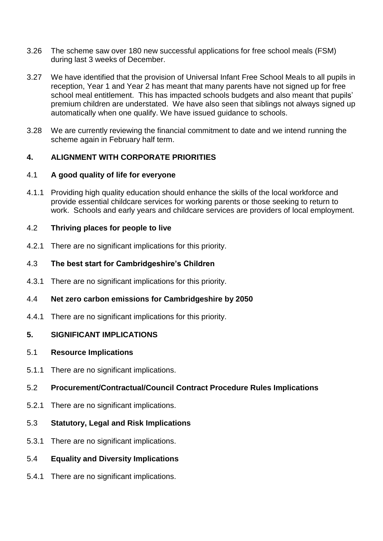- 3.26 The scheme saw over 180 new successful applications for free school meals (FSM) during last 3 weeks of December.
- 3.27 We have identified that the provision of Universal Infant Free School Meals to all pupils in reception, Year 1 and Year 2 has meant that many parents have not signed up for free school meal entitlement. This has impacted schools budgets and also meant that pupils' premium children are understated. We have also seen that siblings not always signed up automatically when one qualify. We have issued guidance to schools.
- 3.28 We are currently reviewing the financial commitment to date and we intend running the scheme again in February half term.

#### **4. ALIGNMENT WITH CORPORATE PRIORITIES**

#### 4.1 **A good quality of life for everyone**

4.1.1 Providing high quality education should enhance the skills of the local workforce and provide essential childcare services for working parents or those seeking to return to work. Schools and early years and childcare services are providers of local employment.

#### 4.2 **Thriving places for people to live**

4.2.1 There are no significant implications for this priority.

#### 4.3 **The best start for Cambridgeshire's Children**

4.3.1 There are no significant implications for this priority.

#### 4.4 **Net zero carbon emissions for Cambridgeshire by 2050**

4.4.1 There are no significant implications for this priority.

### **5. SIGNIFICANT IMPLICATIONS**

#### 5.1 **Resource Implications**

5.1.1 There are no significant implications.

#### 5.2 **Procurement/Contractual/Council Contract Procedure Rules Implications**

- 5.2.1 There are no significant implications.
- 5.3 **Statutory, Legal and Risk Implications**
- 5.3.1 There are no significant implications.

#### 5.4 **Equality and Diversity Implications**

5.4.1 There are no significant implications.